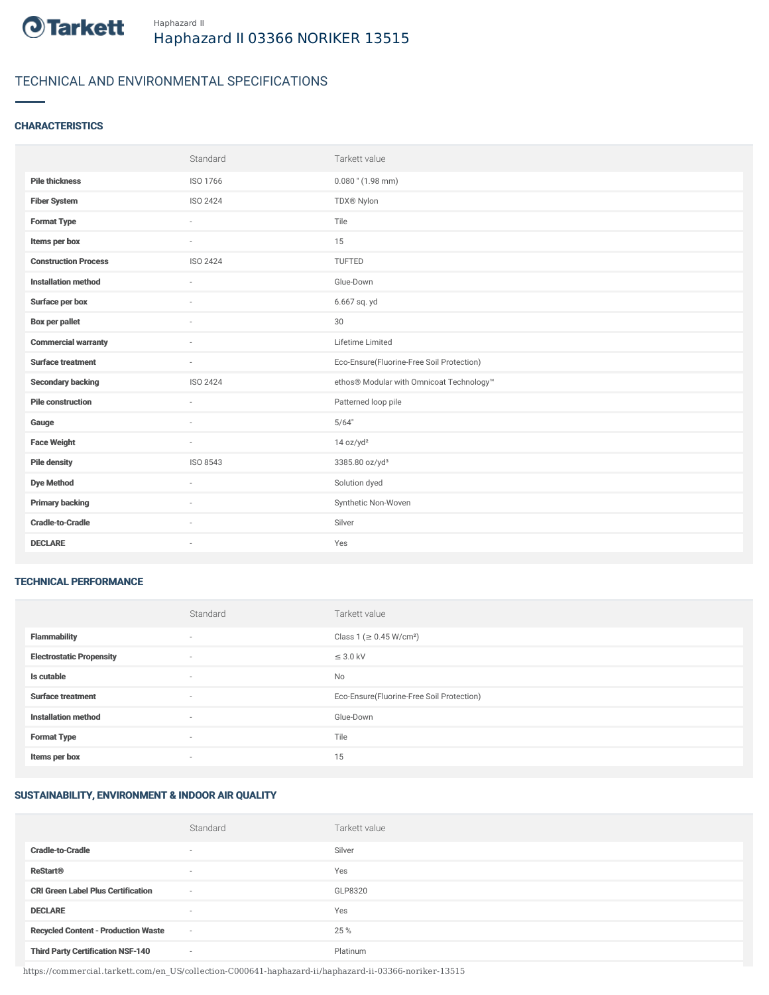

## TECHNICAL AND ENVIRONMENTAL SPECIFICATIONS

## **CHARACTERISTICS**

|                             | Standard        | Tarkett value                             |
|-----------------------------|-----------------|-------------------------------------------|
| <b>Pile thickness</b>       | ISO 1766        | $0.080$ " (1.98 mm)                       |
| <b>Fiber System</b>         | ISO 2424        | TDX® Nylon                                |
| <b>Format Type</b>          | ×               | Tile                                      |
| Items per box               |                 | 15                                        |
| <b>Construction Process</b> | <b>ISO 2424</b> | <b>TUFTED</b>                             |
| <b>Installation method</b>  | ÷               | Glue-Down                                 |
| Surface per box             | $\sim$          | 6.667 sq. yd                              |
| <b>Box per pallet</b>       | ×.              | 30                                        |
| <b>Commercial warranty</b>  | $\sim$          | Lifetime Limited                          |
|                             |                 |                                           |
| <b>Surface treatment</b>    | $\sim$          | Eco-Ensure(Fluorine-Free Soil Protection) |
| <b>Secondary backing</b>    | ISO 2424        | ethos® Modular with Omnicoat Technology™  |
| <b>Pile construction</b>    | $\sim$          | Patterned loop pile                       |
| Gauge                       | ×.              | 5/64"                                     |
| <b>Face Weight</b>          | $\sim$          | 14 oz/yd <sup>2</sup>                     |
| <b>Pile density</b>         | ISO 8543        | 3385.80 oz/yd <sup>3</sup>                |
| <b>Dye Method</b>           | $\sim$          | Solution dyed                             |
| <b>Primary backing</b>      | ×.              | Synthetic Non-Woven                       |
| <b>Cradle-to-Cradle</b>     |                 | Silver                                    |

#### TECHNICAL PERFORMANCE

|                                 | Standard                 | Tarkett value                             |
|---------------------------------|--------------------------|-------------------------------------------|
| <b>Flammability</b>             | $\overline{\phantom{a}}$ | Class 1 (≥ 0.45 W/cm <sup>2</sup> )       |
| <b>Electrostatic Propensity</b> | $\overline{\phantom{a}}$ | $\leq$ 3.0 kV                             |
| Is cutable                      | $\overline{\phantom{a}}$ | No                                        |
| <b>Surface treatment</b>        | $\sim$                   | Eco-Ensure(Fluorine-Free Soil Protection) |
| <b>Installation method</b>      | $\overline{\phantom{a}}$ | Glue-Down                                 |
| <b>Format Type</b>              | $\overline{\phantom{a}}$ | Tile                                      |
| Items per box                   | $\sim$                   | 15                                        |

## SUSTAINABILITY, ENVIRONMENT & INDOOR AIR QUALITY

|                                            | Standard                 | Tarkett value |
|--------------------------------------------|--------------------------|---------------|
| <b>Cradle-to-Cradle</b>                    | $\overline{\phantom{a}}$ | Silver        |
| <b>ReStart®</b>                            | $\overline{\phantom{a}}$ | Yes           |
| <b>CRI Green Label Plus Certification</b>  | $\overline{\phantom{a}}$ | GLP8320       |
| <b>DECLARE</b>                             | $\overline{\phantom{a}}$ | Yes           |
| <b>Recycled Content - Production Waste</b> | $\sim$                   | 25 %          |
| <b>Third Party Certification NSF-140</b>   | $\sim$                   | Platinum      |

https://commercial.tarkett.com/en\_US/collection-C000641-haphazard-ii/haphazard-ii-03366-noriker-13515